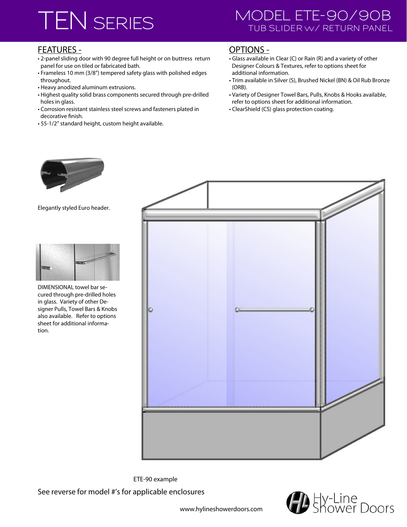## **TEN SERIES MODEL ETE-90/90B TUB SLIDER w/ RETURN PANEL**

## FEATURES -

- 2-panel sliding door with 90 degree full height or on buttress return panel for use on tiled or fabricated bath.
- Frameless 10 mm (3/8") tempered safety glass with polished edges throughout.
- Heavy anodized aluminum extrusions.
- Highest quality solid brass components secured through pre-drilled holes in glass.
- Corrosion resistant stainless steel screws and fasteners plated in decorative finish.
- 55-1/2" standard height, custom height available.

### OPTIONS -

- Glass available in Clear (C) or Rain (R) and a variety of other Designer Colours & Textures, refer to options sheet for additional information.
- Trim available in Silver (S), Brushed Nickel (BN) & Oil Rub Bronze (ORB).
- Variety of Designer Towel Bars, Pulls, Knobs & Hooks available, refer to options sheet for additional information.
- ClearShield (CS) glass protection coating.



Elegantly styled Euro header.



DIMENSIONAL towel bar secured through pre-drilled holes in glass. Variety of other Designer Pulls, Towel Bars & Knobs also available. Refer to options sheet for additional information.



ETE-90 example

See reverse for model #'s for applicable enclosures



www.hylineshowerdoors.com